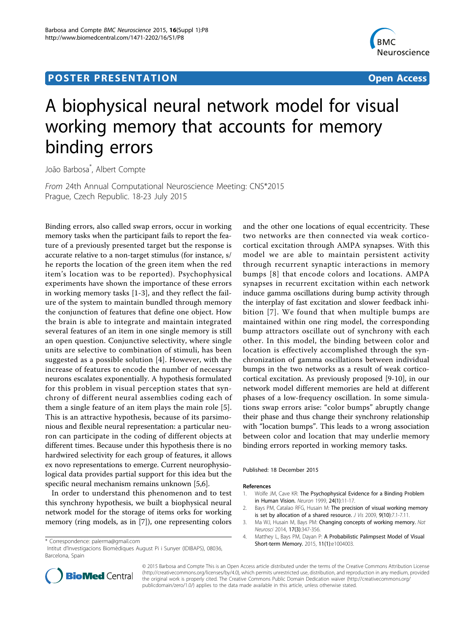# **POSTER PRESENTATION CONSUMING THE SERVICE SERVICE SERVICES**



# A biophysical neural network model for visual working memory that accounts for memory binding errors

João Barbosa\* , Albert Compte

From 24th Annual Computational Neuroscience Meeting: CNS\*2015 Prague, Czech Republic. 18-23 July 2015

Binding errors, also called swap errors, occur in working memory tasks when the participant fails to report the feature of a previously presented target but the response is accurate relative to a non-target stimulus (for instance, s/ he reports the location of the green item when the red item's location was to be reported). Psychophysical experiments have shown the importance of these errors in working memory tasks [1-3], and they reflect the failure of the system to maintain bundled through memory the conjunction of features that define one object. How the brain is able to integrate and maintain integrated several features of an item in one single memory is still an open question. Conjunctive selectivity, where single units are selective to combination of stimuli, has been suggested as a possible solution [4]. However, with the increase of features to encode the number of necessary neurons escalates exponentially. A hypothesis formulated for this problem in visual perception states that synchrony of different neural assemblies coding each of them a single feature of an item plays the main role [[5](#page-1-0)]. This is an attractive hypothesis, because of its parsimonious and flexible neural representation: a particular neuron can participate in the coding of different objects at different times. Because under this hypothesis there is no hardwired selectivity for each group of features, it allows ex novo representations to emerge. Current neurophysiological data provides partial support for this idea but the specific neural mechanism remains unknown [[5,6\]](#page-1-0).

In order to understand this phenomenon and to test this synchrony hypothesis, we built a biophysical neural network model for the storage of items orks for working memory (ring models, as in [\[7\]](#page-1-0)), one representing colors

and the other one locations of equal eccentricity. These two networks are then connected via weak corticocortical excitation through AMPA synapses. With this model we are able to maintain persistent activity through recurrent synaptic interactions in memory bumps [[8](#page-1-0)] that encode colors and locations. AMPA synapses in recurrent excitation within each network induce gamma oscillations during bump activity through the interplay of fast excitation and slower feedback inhibition [\[7\]](#page-1-0). We found that when multiple bumps are maintained within one ring model, the corresponding bump attractors oscillate out of synchrony with each other. In this model, the binding between color and location is effectively accomplished through the synchronization of gamma oscillations between individual bumps in the two networks as a result of weak corticocortical excitation. As previously proposed [9-10], in our network model different memories are held at different phases of a low-frequency oscillation. In some simulations swap errors arise: "color bumps" abruptly change their phase and thus change their synchrony relationship with "location bumps". This leads to a wrong association between color and location that may underlie memory binding errors reported in working memory tasks.

Published: 18 December 2015

#### References

- 1. Wolfe JM, Cave KR: The Psychophysical Evidence for a Binding Problem in Human Vision. Neuron 1999, 24(1):11-17.
- 2. Bays PM, Catalao RFG, Husain M: The precision of visual working memory is set by allocation of a shared resource. J Vis 2009, 9(10):7.1-7.11.
- 3. Ma WJ, Husain M, Bays PM: Changing concepts of working memory. Nat Neurosci 2014, 17(3):347-356.
- 4. Matthey L, Bays PM, Dayan P: A Probabilistic Palimpsest Model of Visual Short-term Memory. 2015, 11(1):e1004003. \* Correspondence: [palerma@gmail.com](mailto:palerma@gmail.com)



© 2015 Barbosa and Compte This is an Open Access article distributed under the terms of the Creative Commons Attribution License [\(http://creativecommons.org/licenses/by/4.0](http://creativecommons.org/licenses/by/4.0)), which permits unrestricted use, distribution, and reproduction in any medium, provided the original work is properly cited. The Creative Commons Public Domain Dedication waiver ([http://creativecommons.org/](http://creativecommons.org/publicdomain/zero/1.0/) [publicdomain/zero/1.0/](http://creativecommons.org/publicdomain/zero/1.0/)) applies to the data made available in this article, unless otherwise stated.

Intitut d'Investigacions Biomèdiques August Pi i Sunyer (IDIBAPS), 08036, Barcelona, Spain